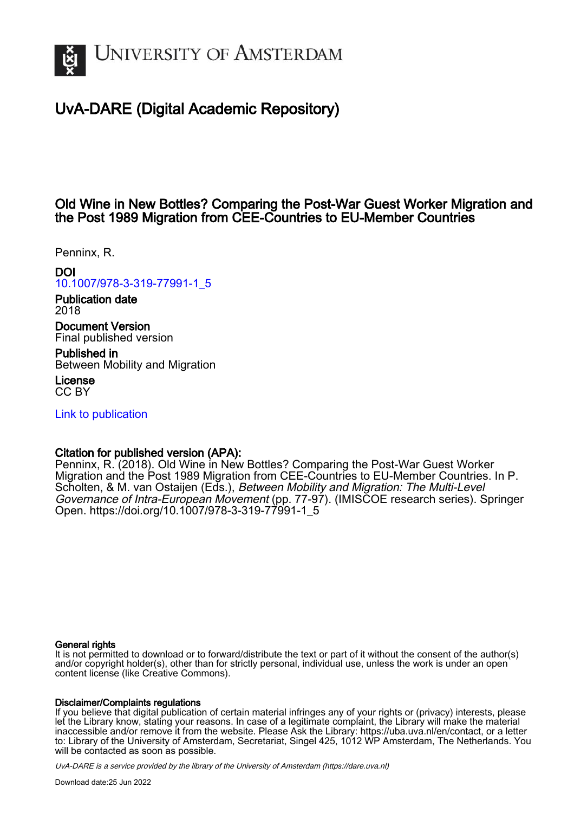

# UvA-DARE (Digital Academic Repository)

# Old Wine in New Bottles? Comparing the Post-War Guest Worker Migration and the Post 1989 Migration from CEE-Countries to EU-Member Countries

Penninx, R.

## DOI

[10.1007/978-3-319-77991-1\\_5](https://doi.org/10.1007/978-3-319-77991-1_5)

Publication date 2018

Document Version Final published version

Published in Between Mobility and Migration

License CC BY

[Link to publication](https://dare.uva.nl/personal/pure/en/publications/old-wine-in-new-bottles-comparing-the-postwar-guest-worker-migration-and-the-post-1989-migration-from-ceecountries-to-eumember-countries(4a27946d-5d4f-4849-8dd4-c1a164e11588).html)

## Citation for published version (APA):

Penninx, R. (2018). Old Wine in New Bottles? Comparing the Post-War Guest Worker Migration and the Post 1989 Migration from CEE-Countries to EU-Member Countries. In P. Scholten, & M. van Ostaijen (Eds.), Between Mobility and Migration: The Multi-Level Governance of Intra-European Movement (pp. 77-97). (IMISCOE research series). Springer Open. [https://doi.org/10.1007/978-3-319-77991-1\\_5](https://doi.org/10.1007/978-3-319-77991-1_5)

#### General rights

It is not permitted to download or to forward/distribute the text or part of it without the consent of the author(s) and/or copyright holder(s), other than for strictly personal, individual use, unless the work is under an open content license (like Creative Commons).

#### Disclaimer/Complaints regulations

If you believe that digital publication of certain material infringes any of your rights or (privacy) interests, please let the Library know, stating your reasons. In case of a legitimate complaint, the Library will make the material inaccessible and/or remove it from the website. Please Ask the Library: https://uba.uva.nl/en/contact, or a letter to: Library of the University of Amsterdam, Secretariat, Singel 425, 1012 WP Amsterdam, The Netherlands. You will be contacted as soon as possible.

UvA-DARE is a service provided by the library of the University of Amsterdam (http*s*://dare.uva.nl)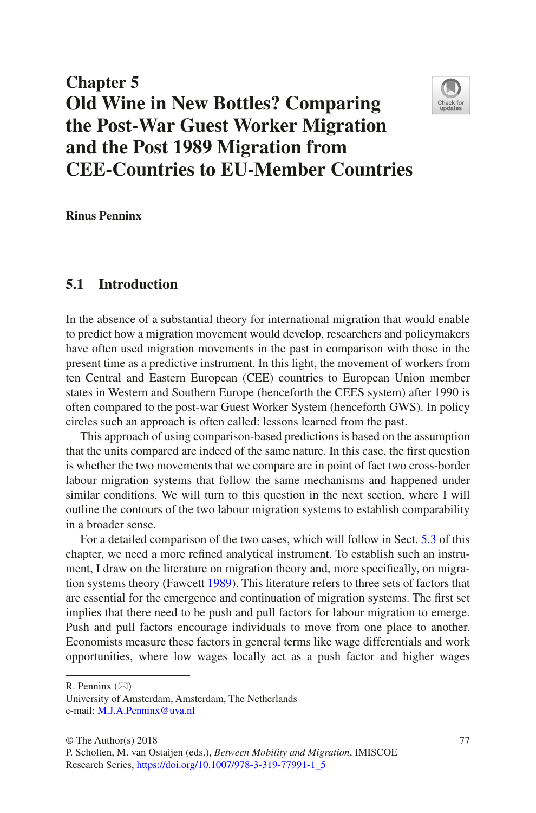# **Chapter 5 Old Wine in New Bottles? Comparing the Post-War Guest Worker Migration and the Post 1989 Migration from CEE-Countries to EU-Member Countries**



### **5.1 Introduction**

In the absence of a substantial theory for international migration that would enable to predict how a migration movement would develop, researchers and policymakers have often used migration movements in the past in comparison with those in the present time as a predictive instrument. In this light, the movement of workers from ten Central and Eastern European (CEE) countries to European Union member states in Western and Southern Europe (henceforth the CEES system) after 1990 is often compared to the post-war Guest Worker System (henceforth GWS). In policy circles such an approach is often called: lessons learned from the past.

This approach of using comparison-based predictions is based on the assumption that the units compared are indeed of the same nature. In this case, the first question is whether the two movements that we compare are in point of fact two cross-border labour migration systems that follow the same mechanisms and happened under similar conditions. We will turn to this question in the next section, where I will outline the contours of the two labour migration systems to establish comparability in a broader sense.

For a detailed comparison of the two cases, which will follow in Sect. [5.3](#page-5-0) of this chapter, we need a more refined analytical instrument. To establish such an instrument, I draw on the literature on migration theory and, more specifically, on migration systems theory (Fawcett [1989](#page-20-0)). This literature refers to three sets of factors that are essential for the emergence and continuation of migration systems. The first set implies that there need to be push and pull factors for labour migration to emerge. Push and pull factors encourage individuals to move from one place to another. Economists measure these factors in general terms like wage differentials and work opportunities, where low wages locally act as a push factor and higher wages

 $\circledcirc$  The Author(s) 2018 77

Check for<br>updates

R. Penninx  $(\boxtimes)$ 

University of Amsterdam, Amsterdam, The Netherlands e-mail: [M.J.A.Penninx@uva.nl](mailto:M.J.A.Penninx@uva.nl)

P. Scholten, M. van Ostaijen (eds.), *Between Mobility and Migration*, IMISCOE Research Series, [https://doi.org/10.1007/978-3-319-77991-1\\_5](https://doi.org/10.1007/978-3-319-77991-1_5)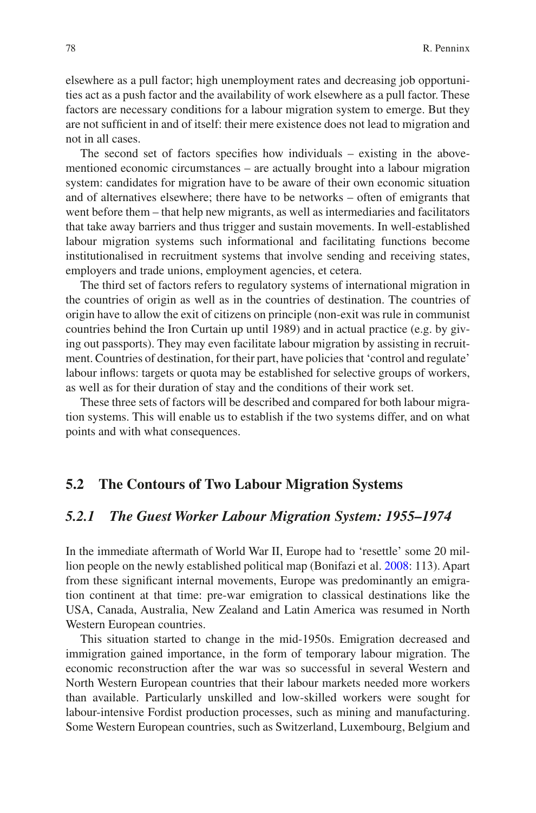elsewhere as a pull factor; high unemployment rates and decreasing job opportunities act as a push factor and the availability of work elsewhere as a pull factor. These factors are necessary conditions for a labour migration system to emerge. But they are not sufficient in and of itself: their mere existence does not lead to migration and not in all cases.

The second set of factors specifies how individuals – existing in the abovementioned economic circumstances – are actually brought into a labour migration system: candidates for migration have to be aware of their own economic situation and of alternatives elsewhere; there have to be networks – often of emigrants that went before them – that help new migrants, as well as intermediaries and facilitators that take away barriers and thus trigger and sustain movements. In well-established labour migration systems such informational and facilitating functions become institutionalised in recruitment systems that involve sending and receiving states, employers and trade unions, employment agencies, et cetera.

The third set of factors refers to regulatory systems of international migration in the countries of origin as well as in the countries of destination. The countries of origin have to allow the exit of citizens on principle (non-exit was rule in communist countries behind the Iron Curtain up until 1989) and in actual practice (e.g. by giving out passports). They may even facilitate labour migration by assisting in recruitment. Countries of destination, for their part, have policies that 'control and regulate' labour inflows: targets or quota may be established for selective groups of workers, as well as for their duration of stay and the conditions of their work set.

These three sets of factors will be described and compared for both labour migration systems. This will enable us to establish if the two systems differ, and on what points and with what consequences.

#### **5.2 The Contours of Two Labour Migration Systems**

#### *5.2.1 The Guest Worker Labour Migration System: 1955–1974*

In the immediate aftermath of World War II, Europe had to 'resettle' some 20 million people on the newly established political map (Bonifazi et al. [2008](#page-19-0): 113). Apart from these significant internal movements, Europe was predominantly an emigration continent at that time: pre-war emigration to classical destinations like the USA, Canada, Australia, New Zealand and Latin America was resumed in North Western European countries.

This situation started to change in the mid-1950s. Emigration decreased and immigration gained importance, in the form of temporary labour migration. The economic reconstruction after the war was so successful in several Western and North Western European countries that their labour markets needed more workers than available. Particularly unskilled and low-skilled workers were sought for labour-intensive Fordist production processes, such as mining and manufacturing. Some Western European countries, such as Switzerland, Luxembourg, Belgium and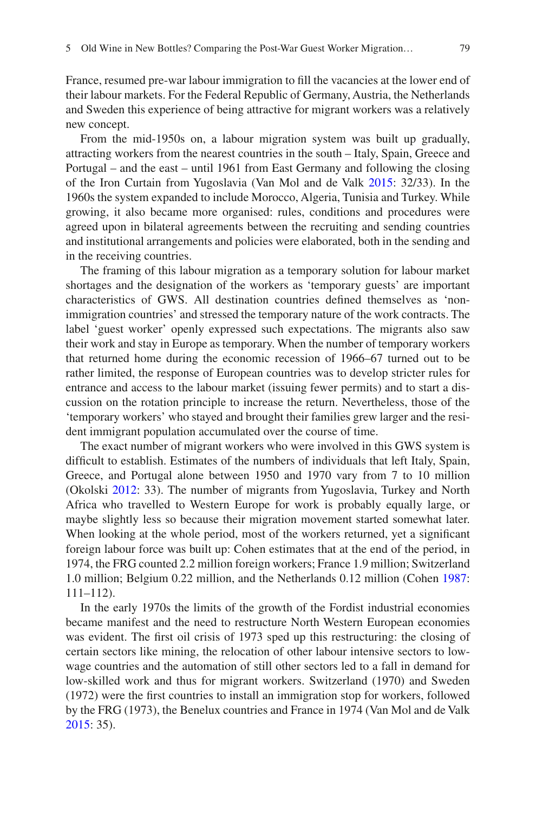France, resumed pre-war labour immigration to fill the vacancies at the lower end of their labour markets. For the Federal Republic of Germany, Austria, the Netherlands and Sweden this experience of being attractive for migrant workers was a relatively new concept.

From the mid-1950s on, a labour migration system was built up gradually, attracting workers from the nearest countries in the south – Italy, Spain, Greece and Portugal – and the east – until 1961 from East Germany and following the closing of the Iron Curtain from Yugoslavia (Van Mol and de Valk [2015](#page-21-0): 32/33). In the 1960s the system expanded to include Morocco, Algeria, Tunisia and Turkey. While growing, it also became more organised: rules, conditions and procedures were agreed upon in bilateral agreements between the recruiting and sending countries and institutional arrangements and policies were elaborated, both in the sending and in the receiving countries.

The framing of this labour migration as a temporary solution for labour market shortages and the designation of the workers as 'temporary guests' are important characteristics of GWS. All destination countries defined themselves as 'nonimmigration countries' and stressed the temporary nature of the work contracts. The label 'guest worker' openly expressed such expectations. The migrants also saw their work and stay in Europe as temporary. When the number of temporary workers that returned home during the economic recession of 1966–67 turned out to be rather limited, the response of European countries was to develop stricter rules for entrance and access to the labour market (issuing fewer permits) and to start a discussion on the rotation principle to increase the return. Nevertheless, those of the 'temporary workers' who stayed and brought their families grew larger and the resident immigrant population accumulated over the course of time.

The exact number of migrant workers who were involved in this GWS system is difficult to establish. Estimates of the numbers of individuals that left Italy, Spain, Greece, and Portugal alone between 1950 and 1970 vary from 7 to 10 million (Okolski [2012](#page-20-1): 33). The number of migrants from Yugoslavia, Turkey and North Africa who travelled to Western Europe for work is probably equally large, or maybe slightly less so because their migration movement started somewhat later. When looking at the whole period, most of the workers returned, yet a significant foreign labour force was built up: Cohen estimates that at the end of the period, in 1974, the FRG counted 2.2 million foreign workers; France 1.9 million; Switzerland 1.0 million; Belgium 0.22 million, and the Netherlands 0.12 million (Cohen [1987:](#page-19-1) 111–112).

In the early 1970s the limits of the growth of the Fordist industrial economies became manifest and the need to restructure North Western European economies was evident. The first oil crisis of 1973 sped up this restructuring: the closing of certain sectors like mining, the relocation of other labour intensive sectors to lowwage countries and the automation of still other sectors led to a fall in demand for low-skilled work and thus for migrant workers. Switzerland (1970) and Sweden (1972) were the first countries to install an immigration stop for workers, followed by the FRG (1973), the Benelux countries and France in 1974 (Van Mol and de Valk [2015:](#page-21-0) 35).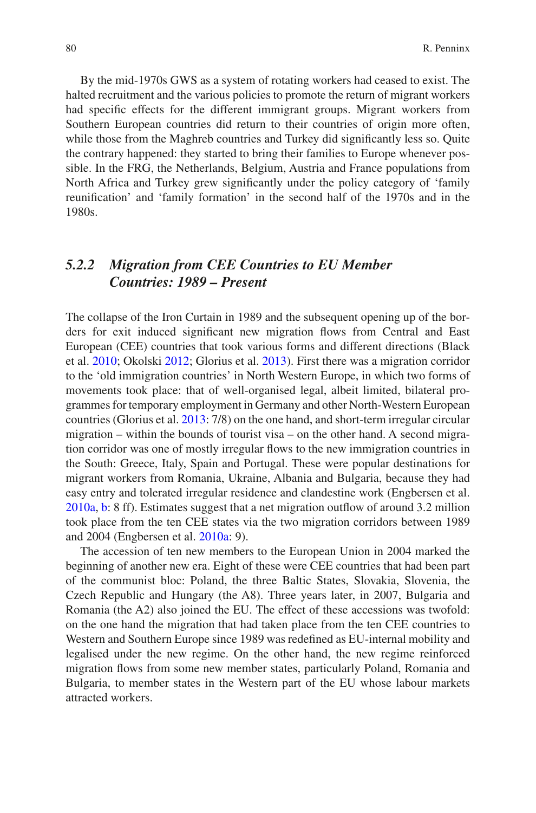By the mid-1970s GWS as a system of rotating workers had ceased to exist. The halted recruitment and the various policies to promote the return of migrant workers had specific effects for the different immigrant groups. Migrant workers from Southern European countries did return to their countries of origin more often, while those from the Maghreb countries and Turkey did significantly less so. Quite the contrary happened: they started to bring their families to Europe whenever possible. In the FRG, the Netherlands, Belgium, Austria and France populations from North Africa and Turkey grew significantly under the policy category of 'family reunification' and 'family formation' in the second half of the 1970s and in the 1980s.

## *5.2.2 Migration from CEE Countries to EU Member Countries: 1989 – Present*

The collapse of the Iron Curtain in 1989 and the subsequent opening up of the borders for exit induced significant new migration flows from Central and East European (CEE) countries that took various forms and different directions (Black et al. [2010;](#page-19-2) Okolski [2012](#page-20-1); Glorius et al. [2013](#page-20-2)). First there was a migration corridor to the 'old immigration countries' in North Western Europe, in which two forms of movements took place: that of well-organised legal, albeit limited, bilateral programmes for temporary employment in Germany and other North-Western European countries (Glorius et al. [2013:](#page-20-2) 7/8) on the one hand, and short-term irregular circular migration – within the bounds of tourist visa – on the other hand. A second migration corridor was one of mostly irregular flows to the new immigration countries in the South: Greece, Italy, Spain and Portugal. These were popular destinations for migrant workers from Romania, Ukraine, Albania and Bulgaria, because they had easy entry and tolerated irregular residence and clandestine work (Engbersen et al. [2010a](#page-19-3), [b](#page-19-4): 8 ff). Estimates suggest that a net migration outflow of around 3.2 million took place from the ten CEE states via the two migration corridors between 1989 and 2004 (Engbersen et al. [2010a:](#page-19-3) 9).

The accession of ten new members to the European Union in 2004 marked the beginning of another new era. Eight of these were CEE countries that had been part of the communist bloc: Poland, the three Baltic States, Slovakia, Slovenia, the Czech Republic and Hungary (the A8). Three years later, in 2007, Bulgaria and Romania (the A2) also joined the EU. The effect of these accessions was twofold: on the one hand the migration that had taken place from the ten CEE countries to Western and Southern Europe since 1989 was redefined as EU-internal mobility and legalised under the new regime. On the other hand, the new regime reinforced migration flows from some new member states, particularly Poland, Romania and Bulgaria, to member states in the Western part of the EU whose labour markets attracted workers.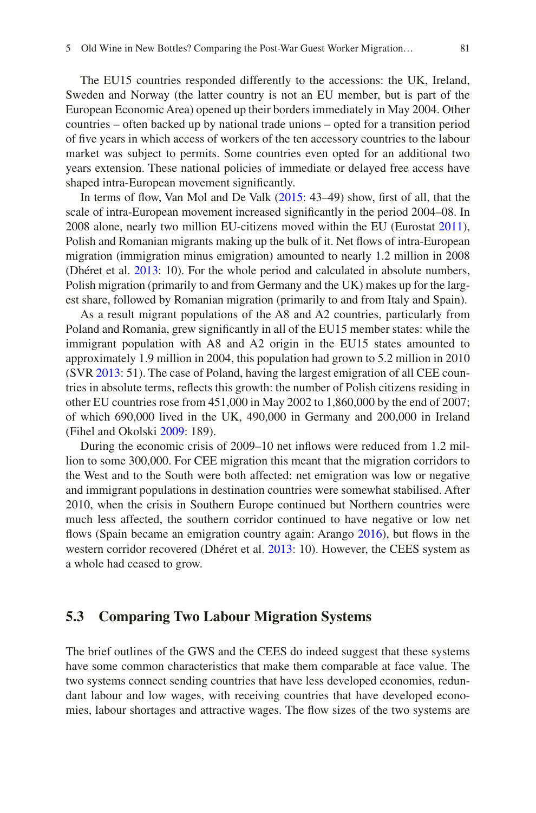The EU15 countries responded differently to the accessions: the UK, Ireland, Sweden and Norway (the latter country is not an EU member, but is part of the European Economic Area) opened up their borders immediately in May 2004. Other countries – often backed up by national trade unions – opted for a transition period of five years in which access of workers of the ten accessory countries to the labour market was subject to permits. Some countries even opted for an additional two years extension. These national policies of immediate or delayed free access have shaped intra-European movement significantly.

In terms of flow, Van Mol and De Valk ([2015](#page-21-0): 43–49) show, first of all, that the scale of intra-European movement increased significantly in the period 2004–08. In 2008 alone, nearly two million EU-citizens moved within the EU (Eurostat [2011\)](#page-20-3), Polish and Romanian migrants making up the bulk of it. Net flows of intra-European migration (immigration minus emigration) amounted to nearly 1.2 million in 2008 (Dhéret et al. [2013:](#page-19-5) 10). For the whole period and calculated in absolute numbers, Polish migration (primarily to and from Germany and the UK) makes up for the largest share, followed by Romanian migration (primarily to and from Italy and Spain).

As a result migrant populations of the A8 and A2 countries, particularly from Poland and Romania, grew significantly in all of the EU15 member states: while the immigrant population with A8 and A2 origin in the EU15 states amounted to approximately 1.9 million in 2004, this population had grown to 5.2 million in 2010 (SVR [2013:](#page-21-1) 51). The case of Poland, having the largest emigration of all CEE countries in absolute terms, reflects this growth: the number of Polish citizens residing in other EU countries rose from 451,000 in May 2002 to 1,860,000 by the end of 2007; of which 690,000 lived in the UK, 490,000 in Germany and 200,000 in Ireland (Fihel and Okolski [2009](#page-20-4): 189).

During the economic crisis of 2009–10 net inflows were reduced from 1.2 million to some 300,000. For CEE migration this meant that the migration corridors to the West and to the South were both affected: net emigration was low or negative and immigrant populations in destination countries were somewhat stabilised. After 2010, when the crisis in Southern Europe continued but Northern countries were much less affected, the southern corridor continued to have negative or low net flows (Spain became an emigration country again: Arango [2016](#page-19-6)), but flows in the western corridor recovered (Dhéret et al. [2013:](#page-19-5) 10). However, the CEES system as a whole had ceased to grow.

#### <span id="page-5-0"></span>**5.3 Comparing Two Labour Migration Systems**

The brief outlines of the GWS and the CEES do indeed suggest that these systems have some common characteristics that make them comparable at face value. The two systems connect sending countries that have less developed economies, redundant labour and low wages, with receiving countries that have developed economies, labour shortages and attractive wages. The flow sizes of the two systems are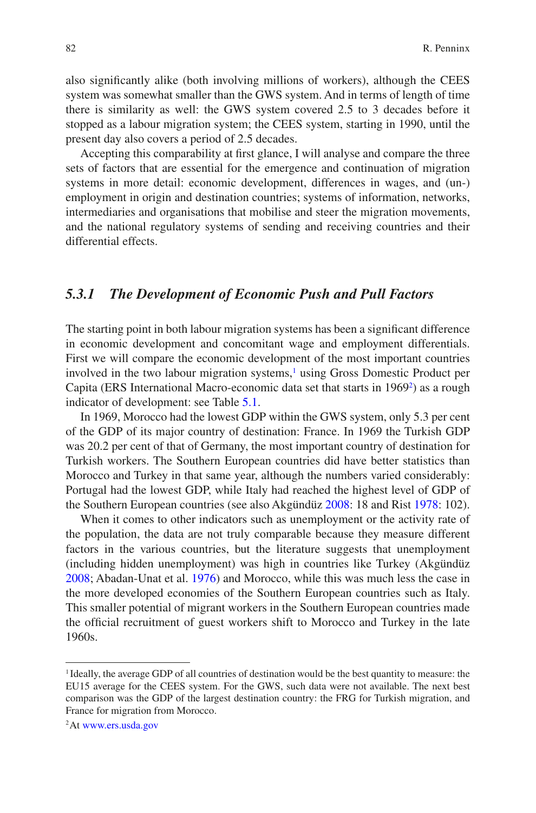also significantly alike (both involving millions of workers), although the CEES system was somewhat smaller than the GWS system. And in terms of length of time there is similarity as well: the GWS system covered 2.5 to 3 decades before it stopped as a labour migration system; the CEES system, starting in 1990, until the present day also covers a period of 2.5 decades.

Accepting this comparability at first glance, I will analyse and compare the three sets of factors that are essential for the emergence and continuation of migration systems in more detail: economic development, differences in wages, and (un-) employment in origin and destination countries; systems of information, networks, intermediaries and organisations that mobilise and steer the migration movements, and the national regulatory systems of sending and receiving countries and their differential effects.

#### *5.3.1 The Development of Economic Push and Pull Factors*

The starting point in both labour migration systems has been a significant difference in economic development and concomitant wage and employment differentials. First we will compare the economic development of the most important countries involved in the two labour migration systems,<sup>[1](#page-6-0)</sup> using Gross Domestic Product per Capita (ERS International Macro-economic data set that starts in 1969<sup>2</sup>) as a rough indicator of development: see Table [5.1](#page-7-0).

In 1969, Morocco had the lowest GDP within the GWS system, only 5.3 per cent of the GDP of its major country of destination: France. In 1969 the Turkish GDP was 20.2 per cent of that of Germany, the most important country of destination for Turkish workers. The Southern European countries did have better statistics than Morocco and Turkey in that same year, although the numbers varied considerably: Portugal had the lowest GDP, while Italy had reached the highest level of GDP of the Southern European countries (see also Akgündüz [2008:](#page-19-7) 18 and Rist [1978:](#page-21-2) 102).

When it comes to other indicators such as unemployment or the activity rate of the population, the data are not truly comparable because they measure different factors in the various countries, but the literature suggests that unemployment (including hidden unemployment) was high in countries like Turkey (Akgündüz [2008;](#page-19-7) Abadan-Unat et al. [1976](#page-19-8)) and Morocco, while this was much less the case in the more developed economies of the Southern European countries such as Italy. This smaller potential of migrant workers in the Southern European countries made the official recruitment of guest workers shift to Morocco and Turkey in the late 1960s.

<span id="page-6-0"></span><sup>1</sup> Ideally, the average GDP of all countries of destination would be the best quantity to measure: the EU15 average for the CEES system. For the GWS, such data were not available. The next best comparison was the GDP of the largest destination country: the FRG for Turkish migration, and France for migration from Morocco.

<span id="page-6-1"></span><sup>2</sup>At [www.ers.usda.gov](http://www.ers.usda.gov)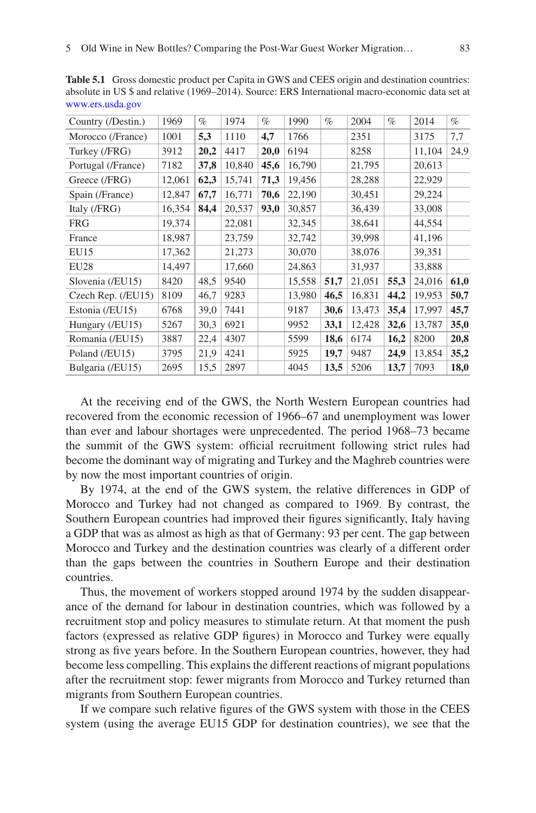| Country (/Destin.)        | 1969   | $\%$ | 1974   | %    | 1990   | $\%$ | 2004   | $\%$ | 2014   | $\%$ |
|---------------------------|--------|------|--------|------|--------|------|--------|------|--------|------|
| Morocco (/France)         | 1001   | 5,3  | 1110   | 4,7  | 1766   |      | 2351   |      | 3175   | 7,7  |
| Turkey (/FRG)             | 3912   | 20,2 | 4417   | 20,0 | 6194   |      | 8258   |      | 11,104 | 24,9 |
| Portugal (/France)        | 7182   | 37,8 | 10,840 | 45,6 | 16,790 |      | 21,795 |      | 20,613 |      |
| Greece (/FRG)             | 12,061 | 62,3 | 15,741 | 71,3 | 19,456 |      | 28,288 |      | 22,929 |      |
| Spain (/France)           | 12,847 | 67,7 | 16,771 | 70,6 | 22,190 |      | 30,451 |      | 29,224 |      |
| Italy (/FRG)              | 16,354 | 84,4 | 20,537 | 93,0 | 30,857 |      | 36,439 |      | 33,008 |      |
| <b>FRG</b>                | 19,374 |      | 22,081 |      | 32,345 |      | 38,641 |      | 44,554 |      |
| France                    | 18,987 |      | 23,759 |      | 32,742 |      | 39,998 |      | 41,196 |      |
| EU15                      | 17,362 |      | 21,273 |      | 30,070 |      | 38,076 |      | 39,351 |      |
| <b>EU28</b>               | 14,497 |      | 17,660 |      | 24,863 |      | 31,937 |      | 33,888 |      |
| Slovenia (/EU15)          | 8420   | 48,5 | 9540   |      | 15,558 | 51,7 | 21,051 | 55,3 | 24,016 | 61,0 |
| Czech Rep. $(EU15)$       | 8109   | 46,7 | 9283   |      | 13,980 | 46,5 | 16,831 | 44,2 | 19,953 | 50,7 |
| Estonia (/EU15)           | 6768   | 39,0 | 7441   |      | 9187   | 30,6 | 13,473 | 35,4 | 17,997 | 45,7 |
| Hungary ( <i>/EU15</i> )  | 5267   | 30,3 | 6921   |      | 9952   | 33,1 | 12,428 | 32,6 | 13,787 | 35,0 |
| Romania (/EU15)           | 3887   | 22,4 | 4307   |      | 5599   | 18,6 | 6174   | 16,2 | 8200   | 20,8 |
| Poland ( <i>/EU15</i> )   | 3795   | 21,9 | 4241   |      | 5925   | 19,7 | 9487   | 24,9 | 13,854 | 35,2 |
| Bulgaria ( <i>/EU15</i> ) | 2695   | 15,5 | 2897   |      | 4045   | 13,5 | 5206   | 13,7 | 7093   | 18,0 |
|                           |        |      |        |      |        |      |        |      |        |      |

<span id="page-7-0"></span>**Table 5.1** Gross domestic product per Capita in GWS and CEES origin and destination countries: absolute in US \$ and relative (1969–2014). Source: ERS International macro-economic data set at [www.ers.usda.gov](http://www.ers.usda.gov)

At the receiving end of the GWS, the North Western European countries had recovered from the economic recession of 1966–67 and unemployment was lower than ever and labour shortages were unprecedented. The period 1968–73 became the summit of the GWS system: official recruitment following strict rules had become the dominant way of migrating and Turkey and the Maghreb countries were by now the most important countries of origin.

By 1974, at the end of the GWS system, the relative differences in GDP of Morocco and Turkey had not changed as compared to 1969. By contrast, the Southern European countries had improved their figures significantly, Italy having a GDP that was as almost as high as that of Germany: 93 per cent. The gap between Morocco and Turkey and the destination countries was clearly of a different order than the gaps between the countries in Southern Europe and their destination countries.

Thus, the movement of workers stopped around 1974 by the sudden disappearance of the demand for labour in destination countries, which was followed by a recruitment stop and policy measures to stimulate return. At that moment the push factors (expressed as relative GDP figures) in Morocco and Turkey were equally strong as five years before. In the Southern European countries, however, they had become less compelling. This explains the different reactions of migrant populations after the recruitment stop: fewer migrants from Morocco and Turkey returned than migrants from Southern European countries.

If we compare such relative figures of the GWS system with those in the CEES system (using the average EU15 GDP for destination countries), we see that the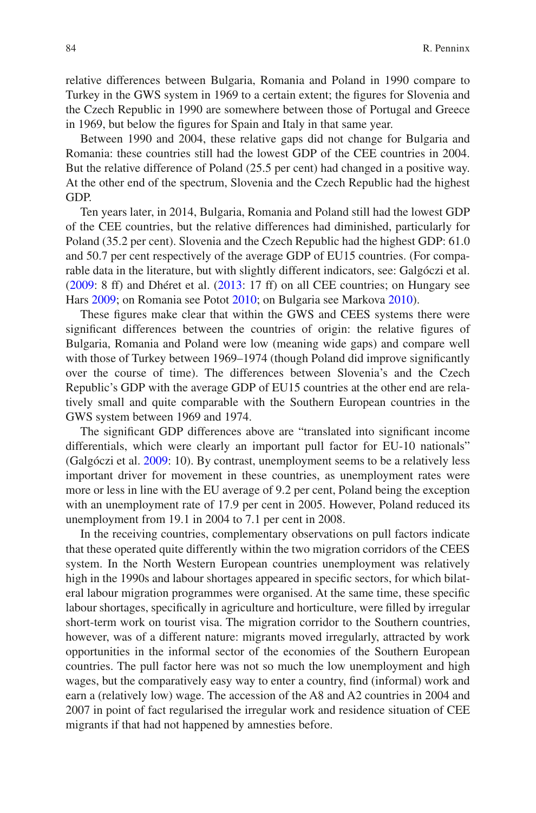relative differences between Bulgaria, Romania and Poland in 1990 compare to Turkey in the GWS system in 1969 to a certain extent; the figures for Slovenia and the Czech Republic in 1990 are somewhere between those of Portugal and Greece in 1969, but below the figures for Spain and Italy in that same year.

Between 1990 and 2004, these relative gaps did not change for Bulgaria and Romania: these countries still had the lowest GDP of the CEE countries in 2004. But the relative difference of Poland (25.5 per cent) had changed in a positive way. At the other end of the spectrum, Slovenia and the Czech Republic had the highest GDP.

Ten years later, in 2014, Bulgaria, Romania and Poland still had the lowest GDP of the CEE countries, but the relative differences had diminished, particularly for Poland (35.2 per cent). Slovenia and the Czech Republic had the highest GDP: 61.0 and 50.7 per cent respectively of the average GDP of EU15 countries. (For comparable data in the literature, but with slightly different indicators, see: Galgóczi et al. [\(2009](#page-20-5): 8 ff) and Dhéret et al. ([2013:](#page-19-5) 17 ff) on all CEE countries; on Hungary see Hars [2009](#page-20-6); on Romania see Potot [2010;](#page-21-3) on Bulgaria see Markova [2010\)](#page-20-7).

These figures make clear that within the GWS and CEES systems there were significant differences between the countries of origin: the relative figures of Bulgaria, Romania and Poland were low (meaning wide gaps) and compare well with those of Turkey between 1969–1974 (though Poland did improve significantly over the course of time). The differences between Slovenia's and the Czech Republic's GDP with the average GDP of EU15 countries at the other end are relatively small and quite comparable with the Southern European countries in the GWS system between 1969 and 1974.

The significant GDP differences above are "translated into significant income differentials, which were clearly an important pull factor for EU-10 nationals" (Galgóczi et al. [2009:](#page-20-5) 10). By contrast, unemployment seems to be a relatively less important driver for movement in these countries, as unemployment rates were more or less in line with the EU average of 9.2 per cent, Poland being the exception with an unemployment rate of 17.9 per cent in 2005. However, Poland reduced its unemployment from 19.1 in 2004 to 7.1 per cent in 2008.

In the receiving countries, complementary observations on pull factors indicate that these operated quite differently within the two migration corridors of the CEES system. In the North Western European countries unemployment was relatively high in the 1990s and labour shortages appeared in specific sectors, for which bilateral labour migration programmes were organised. At the same time, these specific labour shortages, specifically in agriculture and horticulture, were filled by irregular short-term work on tourist visa. The migration corridor to the Southern countries, however, was of a different nature: migrants moved irregularly, attracted by work opportunities in the informal sector of the economies of the Southern European countries. The pull factor here was not so much the low unemployment and high wages, but the comparatively easy way to enter a country, find (informal) work and earn a (relatively low) wage. The accession of the A8 and A2 countries in 2004 and 2007 in point of fact regularised the irregular work and residence situation of CEE migrants if that had not happened by amnesties before.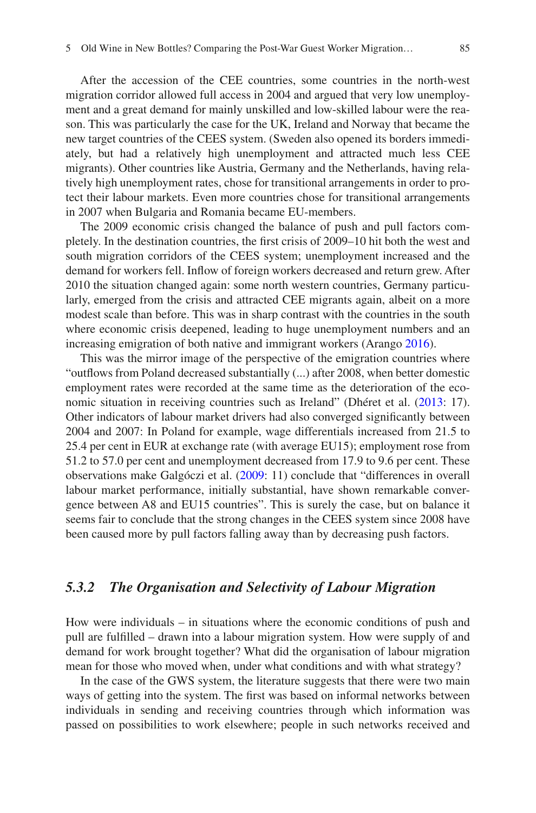After the accession of the CEE countries, some countries in the north-west migration corridor allowed full access in 2004 and argued that very low unemployment and a great demand for mainly unskilled and low-skilled labour were the reason. This was particularly the case for the UK, Ireland and Norway that became the new target countries of the CEES system. (Sweden also opened its borders immediately, but had a relatively high unemployment and attracted much less CEE migrants). Other countries like Austria, Germany and the Netherlands, having relatively high unemployment rates, chose for transitional arrangements in order to protect their labour markets. Even more countries chose for transitional arrangements in 2007 when Bulgaria and Romania became EU-members.

The 2009 economic crisis changed the balance of push and pull factors completely. In the destination countries, the first crisis of 2009–10 hit both the west and south migration corridors of the CEES system; unemployment increased and the demand for workers fell. Inflow of foreign workers decreased and return grew. After 2010 the situation changed again: some north western countries, Germany particularly, emerged from the crisis and attracted CEE migrants again, albeit on a more modest scale than before. This was in sharp contrast with the countries in the south where economic crisis deepened, leading to huge unemployment numbers and an increasing emigration of both native and immigrant workers (Arango [2016](#page-19-6)).

This was the mirror image of the perspective of the emigration countries where "outflows from Poland decreased substantially (...) after 2008, when better domestic employment rates were recorded at the same time as the deterioration of the economic situation in receiving countries such as Ireland" (Dhéret et al. [\(2013](#page-19-5): 17). Other indicators of labour market drivers had also converged significantly between 2004 and 2007: In Poland for example, wage differentials increased from 21.5 to 25.4 per cent in EUR at exchange rate (with average EU15); employment rose from 51.2 to 57.0 per cent and unemployment decreased from 17.9 to 9.6 per cent. These observations make Galgóczi et al. ([2009:](#page-20-5) 11) conclude that "differences in overall labour market performance, initially substantial, have shown remarkable convergence between A8 and EU15 countries". This is surely the case, but on balance it seems fair to conclude that the strong changes in the CEES system since 2008 have been caused more by pull factors falling away than by decreasing push factors.

#### *5.3.2 The Organisation and Selectivity of Labour Migration*

How were individuals – in situations where the economic conditions of push and pull are fulfilled – drawn into a labour migration system. How were supply of and demand for work brought together? What did the organisation of labour migration mean for those who moved when, under what conditions and with what strategy?

In the case of the GWS system, the literature suggests that there were two main ways of getting into the system. The first was based on informal networks between individuals in sending and receiving countries through which information was passed on possibilities to work elsewhere; people in such networks received and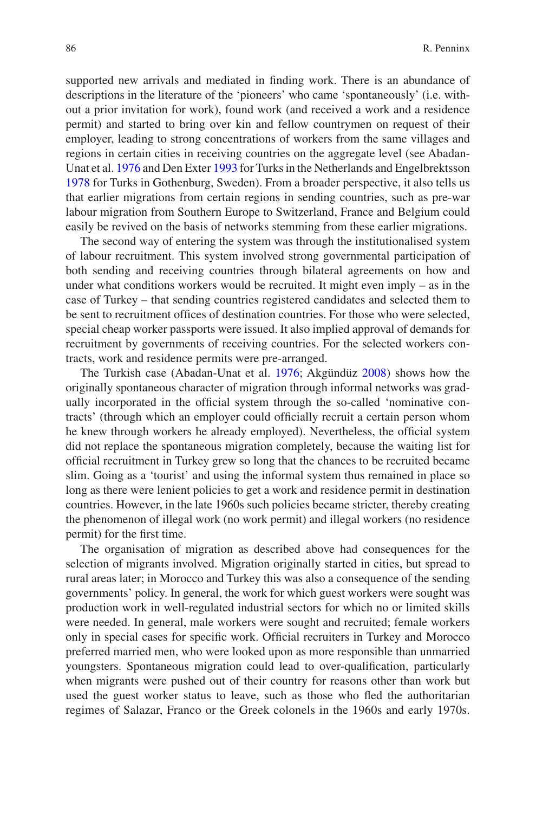supported new arrivals and mediated in finding work. There is an abundance of descriptions in the literature of the 'pioneers' who came 'spontaneously' (i.e. without a prior invitation for work), found work (and received a work and a residence permit) and started to bring over kin and fellow countrymen on request of their employer, leading to strong concentrations of workers from the same villages and regions in certain cities in receiving countries on the aggregate level (see Abadan-Unat et al. [1976](#page-19-8) and Den Exter [1993](#page-19-9) for Turks in the Netherlands and Engelbrektsson [1978](#page-20-8) for Turks in Gothenburg, Sweden). From a broader perspective, it also tells us that earlier migrations from certain regions in sending countries, such as pre-war labour migration from Southern Europe to Switzerland, France and Belgium could easily be revived on the basis of networks stemming from these earlier migrations.

The second way of entering the system was through the institutionalised system of labour recruitment. This system involved strong governmental participation of both sending and receiving countries through bilateral agreements on how and under what conditions workers would be recruited. It might even imply  $-$  as in the case of Turkey – that sending countries registered candidates and selected them to be sent to recruitment offices of destination countries. For those who were selected, special cheap worker passports were issued. It also implied approval of demands for recruitment by governments of receiving countries. For the selected workers contracts, work and residence permits were pre-arranged.

The Turkish case (Abadan-Unat et al. [1976;](#page-19-8) Akgündüz [2008](#page-19-7)) shows how the originally spontaneous character of migration through informal networks was gradually incorporated in the official system through the so-called 'nominative contracts' (through which an employer could officially recruit a certain person whom he knew through workers he already employed). Nevertheless, the official system did not replace the spontaneous migration completely, because the waiting list for official recruitment in Turkey grew so long that the chances to be recruited became slim. Going as a 'tourist' and using the informal system thus remained in place so long as there were lenient policies to get a work and residence permit in destination countries. However, in the late 1960s such policies became stricter, thereby creating the phenomenon of illegal work (no work permit) and illegal workers (no residence permit) for the first time.

The organisation of migration as described above had consequences for the selection of migrants involved. Migration originally started in cities, but spread to rural areas later; in Morocco and Turkey this was also a consequence of the sending governments' policy. In general, the work for which guest workers were sought was production work in well-regulated industrial sectors for which no or limited skills were needed. In general, male workers were sought and recruited; female workers only in special cases for specific work. Official recruiters in Turkey and Morocco preferred married men, who were looked upon as more responsible than unmarried youngsters. Spontaneous migration could lead to over-qualification, particularly when migrants were pushed out of their country for reasons other than work but used the guest worker status to leave, such as those who fled the authoritarian regimes of Salazar, Franco or the Greek colonels in the 1960s and early 1970s.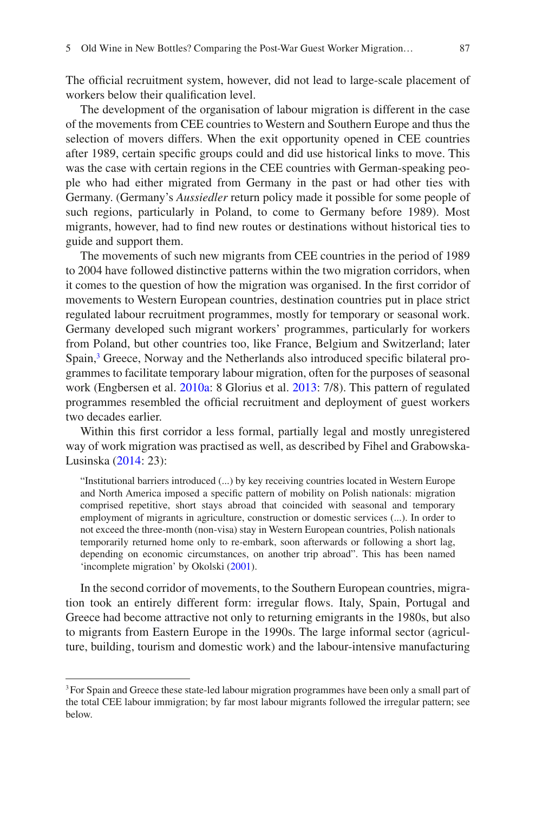The official recruitment system, however, did not lead to large-scale placement of workers below their qualification level.

The development of the organisation of labour migration is different in the case of the movements from CEE countries to Western and Southern Europe and thus the selection of movers differs. When the exit opportunity opened in CEE countries after 1989, certain specific groups could and did use historical links to move. This was the case with certain regions in the CEE countries with German-speaking people who had either migrated from Germany in the past or had other ties with Germany. (Germany's *Aussiedler* return policy made it possible for some people of such regions, particularly in Poland, to come to Germany before 1989). Most migrants, however, had to find new routes or destinations without historical ties to guide and support them.

The movements of such new migrants from CEE countries in the period of 1989 to 2004 have followed distinctive patterns within the two migration corridors, when it comes to the question of how the migration was organised. In the first corridor of movements to Western European countries, destination countries put in place strict regulated labour recruitment programmes, mostly for temporary or seasonal work. Germany developed such migrant workers' programmes, particularly for workers from Poland, but other countries too, like France, Belgium and Switzerland; later Spain,<sup>3</sup> Greece, Norway and the Netherlands also introduced specific bilateral programmes to facilitate temporary labour migration, often for the purposes of seasonal work (Engbersen et al. [2010a:](#page-19-3) 8 Glorius et al. [2013:](#page-20-2) 7/8). This pattern of regulated programmes resembled the official recruitment and deployment of guest workers two decades earlier.

Within this first corridor a less formal, partially legal and mostly unregistered way of work migration was practised as well, as described by Fihel and Grabowska-Lusinska ([2014:](#page-20-9) 23):

"Institutional barriers introduced (...) by key receiving countries located in Western Europe and North America imposed a specific pattern of mobility on Polish nationals: migration comprised repetitive, short stays abroad that coincided with seasonal and temporary employment of migrants in agriculture, construction or domestic services (...). In order to not exceed the three-month (non-visa) stay in Western European countries, Polish nationals temporarily returned home only to re-embark, soon afterwards or following a short lag, depending on economic circumstances, on another trip abroad". This has been named 'incomplete migration' by Okolski [\(2001](#page-20-10)).

In the second corridor of movements, to the Southern European countries, migration took an entirely different form: irregular flows. Italy, Spain, Portugal and Greece had become attractive not only to returning emigrants in the 1980s, but also to migrants from Eastern Europe in the 1990s. The large informal sector (agriculture, building, tourism and domestic work) and the labour-intensive manufacturing

<span id="page-11-0"></span><sup>&</sup>lt;sup>3</sup>For Spain and Greece these state-led labour migration programmes have been only a small part of the total CEE labour immigration; by far most labour migrants followed the irregular pattern; see below.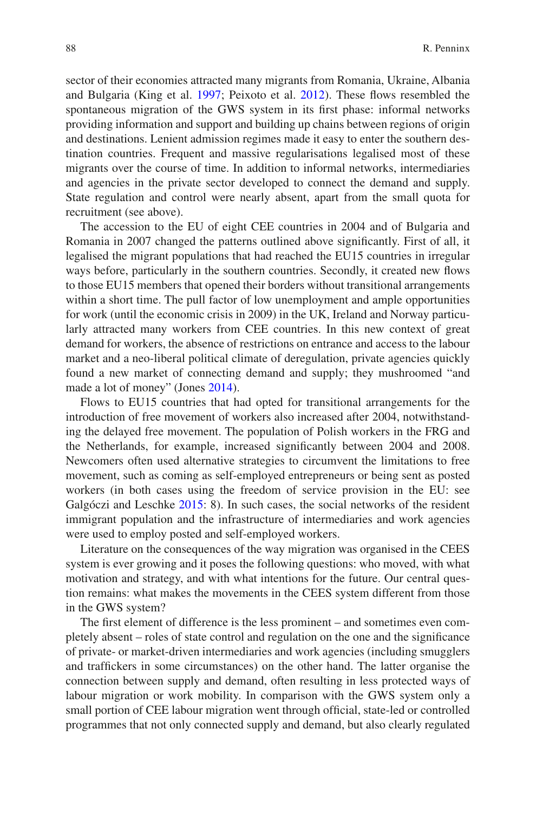sector of their economies attracted many migrants from Romania, Ukraine, Albania and Bulgaria (King et al. [1997](#page-20-11); Peixoto et al. [2012](#page-20-12)). These flows resembled the spontaneous migration of the GWS system in its first phase: informal networks providing information and support and building up chains between regions of origin and destinations. Lenient admission regimes made it easy to enter the southern destination countries. Frequent and massive regularisations legalised most of these migrants over the course of time. In addition to informal networks, intermediaries and agencies in the private sector developed to connect the demand and supply. State regulation and control were nearly absent, apart from the small quota for recruitment (see above).

The accession to the EU of eight CEE countries in 2004 and of Bulgaria and Romania in 2007 changed the patterns outlined above significantly. First of all, it legalised the migrant populations that had reached the EU15 countries in irregular ways before, particularly in the southern countries. Secondly, it created new flows to those EU15 members that opened their borders without transitional arrangements within a short time. The pull factor of low unemployment and ample opportunities for work (until the economic crisis in 2009) in the UK, Ireland and Norway particularly attracted many workers from CEE countries. In this new context of great demand for workers, the absence of restrictions on entrance and access to the labour market and a neo-liberal political climate of deregulation, private agencies quickly found a new market of connecting demand and supply; they mushroomed "and made a lot of money" (Jones [2014\)](#page-20-13).

Flows to EU15 countries that had opted for transitional arrangements for the introduction of free movement of workers also increased after 2004, notwithstanding the delayed free movement. The population of Polish workers in the FRG and the Netherlands, for example, increased significantly between 2004 and 2008. Newcomers often used alternative strategies to circumvent the limitations to free movement, such as coming as self-employed entrepreneurs or being sent as posted workers (in both cases using the freedom of service provision in the EU: see Galgóczi and Leschke [2015:](#page-20-14) 8). In such cases, the social networks of the resident immigrant population and the infrastructure of intermediaries and work agencies were used to employ posted and self-employed workers.

Literature on the consequences of the way migration was organised in the CEES system is ever growing and it poses the following questions: who moved, with what motivation and strategy, and with what intentions for the future. Our central question remains: what makes the movements in the CEES system different from those in the GWS system?

The first element of difference is the less prominent – and sometimes even completely absent – roles of state control and regulation on the one and the significance of private- or market-driven intermediaries and work agencies (including smugglers and traffickers in some circumstances) on the other hand. The latter organise the connection between supply and demand, often resulting in less protected ways of labour migration or work mobility. In comparison with the GWS system only a small portion of CEE labour migration went through official, state-led or controlled programmes that not only connected supply and demand, but also clearly regulated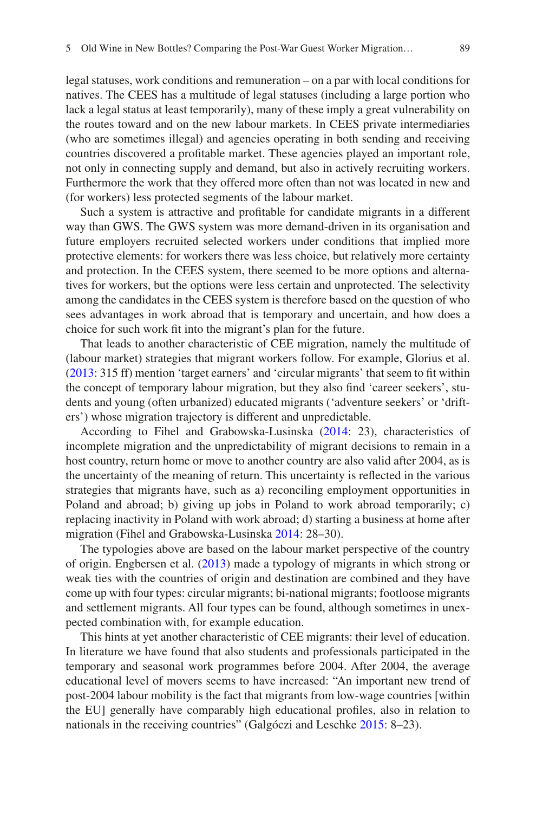legal statuses, work conditions and remuneration – on a par with local conditions for natives. The CEES has a multitude of legal statuses (including a large portion who lack a legal status at least temporarily), many of these imply a great vulnerability on the routes toward and on the new labour markets. In CEES private intermediaries (who are sometimes illegal) and agencies operating in both sending and receiving countries discovered a profitable market. These agencies played an important role, not only in connecting supply and demand, but also in actively recruiting workers. Furthermore the work that they offered more often than not was located in new and (for workers) less protected segments of the labour market.

Such a system is attractive and profitable for candidate migrants in a different way than GWS. The GWS system was more demand-driven in its organisation and future employers recruited selected workers under conditions that implied more protective elements: for workers there was less choice, but relatively more certainty and protection. In the CEES system, there seemed to be more options and alternatives for workers, but the options were less certain and unprotected. The selectivity among the candidates in the CEES system is therefore based on the question of who sees advantages in work abroad that is temporary and uncertain, and how does a choice for such work fit into the migrant's plan for the future.

That leads to another characteristic of CEE migration, namely the multitude of (labour market) strategies that migrant workers follow. For example, Glorius et al. [\(2013](#page-20-2): 315 ff) mention 'target earners' and 'circular migrants' that seem to fit within the concept of temporary labour migration, but they also find 'career seekers', students and young (often urbanized) educated migrants ('adventure seekers' or 'drifters') whose migration trajectory is different and unpredictable.

According to Fihel and Grabowska-Lusinska [\(2014](#page-20-9): 23), characteristics of incomplete migration and the unpredictability of migrant decisions to remain in a host country, return home or move to another country are also valid after 2004, as is the uncertainty of the meaning of return. This uncertainty is reflected in the various strategies that migrants have, such as a) reconciling employment opportunities in Poland and abroad; b) giving up jobs in Poland to work abroad temporarily; c) replacing inactivity in Poland with work abroad; d) starting a business at home after migration (Fihel and Grabowska-Lusinska [2014:](#page-20-9) 28–30).

The typologies above are based on the labour market perspective of the country of origin. Engbersen et al. ([2013\)](#page-20-15) made a typology of migrants in which strong or weak ties with the countries of origin and destination are combined and they have come up with four types: circular migrants; bi-national migrants; footloose migrants and settlement migrants. All four types can be found, although sometimes in unexpected combination with, for example education.

This hints at yet another characteristic of CEE migrants: their level of education. In literature we have found that also students and professionals participated in the temporary and seasonal work programmes before 2004. After 2004, the average educational level of movers seems to have increased: "An important new trend of post-2004 labour mobility is the fact that migrants from low-wage countries [within the EU] generally have comparably high educational profiles, also in relation to nationals in the receiving countries" (Galgóczi and Leschke [2015](#page-20-14): 8–23).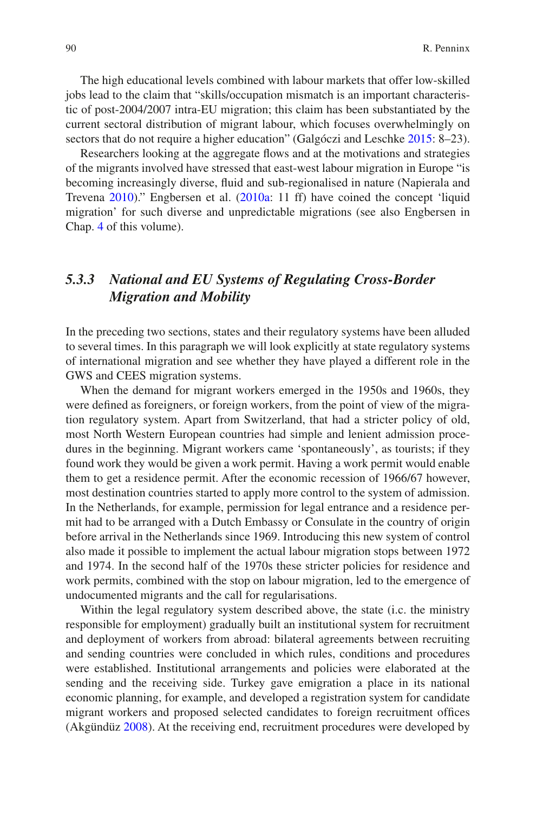The high educational levels combined with labour markets that offer low-skilled jobs lead to the claim that "skills/occupation mismatch is an important characteristic of post-2004/2007 intra-EU migration; this claim has been substantiated by the current sectoral distribution of migrant labour, which focuses overwhelmingly on sectors that do not require a higher education" (Galgóczi and Leschke [2015:](#page-20-14) 8–23).

Researchers looking at the aggregate flows and at the motivations and strategies of the migrants involved have stressed that east-west labour migration in Europe "is becoming increasingly diverse, fluid and sub-regionalised in nature (Napierala and Trevena [2010\)](#page-20-16)." Engbersen et al. ([2010a](#page-19-3): 11 ff) have coined the concept 'liquid migration' for such diverse and unpredictable migrations (see also Engbersen in Chap. [4](https://doi.org/10.1007/978-3-319-77991-1_4) of this volume).

## *5.3.3 National and EU Systems of Regulating Cross-Border Migration and Mobility*

In the preceding two sections, states and their regulatory systems have been alluded to several times. In this paragraph we will look explicitly at state regulatory systems of international migration and see whether they have played a different role in the GWS and CEES migration systems.

When the demand for migrant workers emerged in the 1950s and 1960s, they were defined as foreigners, or foreign workers, from the point of view of the migration regulatory system. Apart from Switzerland, that had a stricter policy of old, most North Western European countries had simple and lenient admission procedures in the beginning. Migrant workers came 'spontaneously', as tourists; if they found work they would be given a work permit. Having a work permit would enable them to get a residence permit. After the economic recession of 1966/67 however, most destination countries started to apply more control to the system of admission. In the Netherlands, for example, permission for legal entrance and a residence permit had to be arranged with a Dutch Embassy or Consulate in the country of origin before arrival in the Netherlands since 1969. Introducing this new system of control also made it possible to implement the actual labour migration stops between 1972 and 1974. In the second half of the 1970s these stricter policies for residence and work permits, combined with the stop on labour migration, led to the emergence of undocumented migrants and the call for regularisations.

Within the legal regulatory system described above, the state (i.c. the ministry responsible for employment) gradually built an institutional system for recruitment and deployment of workers from abroad: bilateral agreements between recruiting and sending countries were concluded in which rules, conditions and procedures were established. Institutional arrangements and policies were elaborated at the sending and the receiving side. Turkey gave emigration a place in its national economic planning, for example, and developed a registration system for candidate migrant workers and proposed selected candidates to foreign recruitment offices (Akgündüz [2008](#page-19-7)). At the receiving end, recruitment procedures were developed by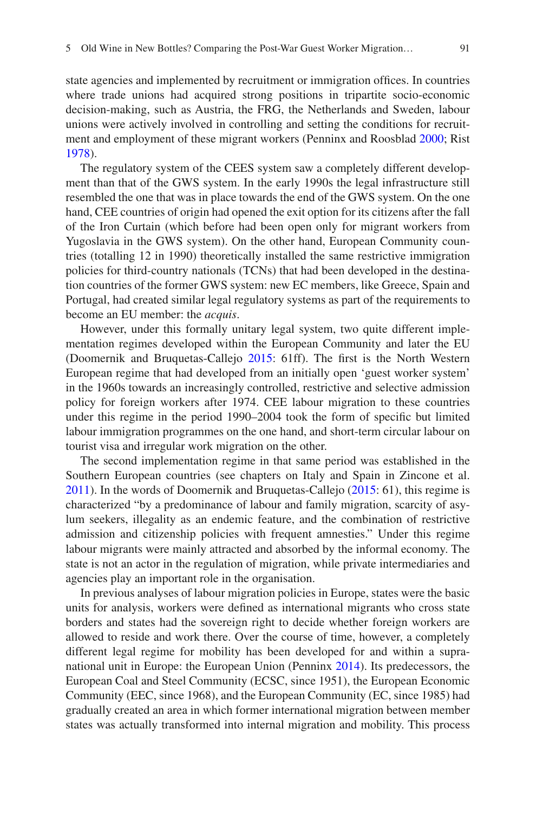state agencies and implemented by recruitment or immigration offices. In countries where trade unions had acquired strong positions in tripartite socio-economic decision-making, such as Austria, the FRG, the Netherlands and Sweden, labour unions were actively involved in controlling and setting the conditions for recruitment and employment of these migrant workers (Penninx and Roosblad [2000](#page-21-4); Rist [1978\)](#page-21-2).

The regulatory system of the CEES system saw a completely different development than that of the GWS system. In the early 1990s the legal infrastructure still resembled the one that was in place towards the end of the GWS system. On the one hand, CEE countries of origin had opened the exit option for its citizens after the fall of the Iron Curtain (which before had been open only for migrant workers from Yugoslavia in the GWS system). On the other hand, European Community countries (totalling 12 in 1990) theoretically installed the same restrictive immigration policies for third-country nationals (TCNs) that had been developed in the destination countries of the former GWS system: new EC members, like Greece, Spain and Portugal, had created similar legal regulatory systems as part of the requirements to become an EU member: the *acquis*.

However, under this formally unitary legal system, two quite different implementation regimes developed within the European Community and later the EU (Doomernik and Bruquetas-Callejo [2015:](#page-19-10) 61ff). The first is the North Western European regime that had developed from an initially open 'guest worker system' in the 1960s towards an increasingly controlled, restrictive and selective admission policy for foreign workers after 1974. CEE labour migration to these countries under this regime in the period 1990–2004 took the form of specific but limited labour immigration programmes on the one hand, and short-term circular labour on tourist visa and irregular work migration on the other.

The second implementation regime in that same period was established in the Southern European countries (see chapters on Italy and Spain in Zincone et al. [2011\)](#page-21-5). In the words of Doomernik and Bruquetas-Callejo [\(2015](#page-19-10): 61), this regime is characterized "by a predominance of labour and family migration, scarcity of asylum seekers, illegality as an endemic feature, and the combination of restrictive admission and citizenship policies with frequent amnesties." Under this regime labour migrants were mainly attracted and absorbed by the informal economy. The state is not an actor in the regulation of migration, while private intermediaries and agencies play an important role in the organisation.

In previous analyses of labour migration policies in Europe, states were the basic units for analysis, workers were defined as international migrants who cross state borders and states had the sovereign right to decide whether foreign workers are allowed to reside and work there. Over the course of time, however, a completely different legal regime for mobility has been developed for and within a supranational unit in Europe: the European Union (Penninx [2014](#page-20-17)). Its predecessors, the European Coal and Steel Community (ECSC, since 1951), the European Economic Community (EEC, since 1968), and the European Community (EC, since 1985) had gradually created an area in which former international migration between member states was actually transformed into internal migration and mobility. This process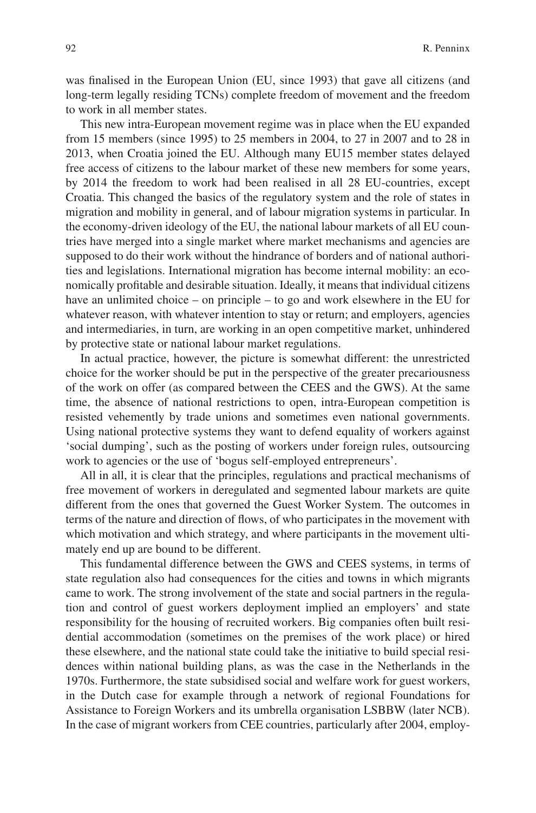was finalised in the European Union (EU, since 1993) that gave all citizens (and long-term legally residing TCNs) complete freedom of movement and the freedom to work in all member states.

This new intra-European movement regime was in place when the EU expanded from 15 members (since 1995) to 25 members in 2004, to 27 in 2007 and to 28 in 2013, when Croatia joined the EU. Although many EU15 member states delayed free access of citizens to the labour market of these new members for some years, by 2014 the freedom to work had been realised in all 28 EU-countries, except Croatia. This changed the basics of the regulatory system and the role of states in migration and mobility in general, and of labour migration systems in particular. In the economy-driven ideology of the EU, the national labour markets of all EU countries have merged into a single market where market mechanisms and agencies are supposed to do their work without the hindrance of borders and of national authorities and legislations. International migration has become internal mobility: an economically profitable and desirable situation. Ideally, it means that individual citizens have an unlimited choice – on principle – to go and work elsewhere in the EU for whatever reason, with whatever intention to stay or return; and employers, agencies and intermediaries, in turn, are working in an open competitive market, unhindered by protective state or national labour market regulations.

In actual practice, however, the picture is somewhat different: the unrestricted choice for the worker should be put in the perspective of the greater precariousness of the work on offer (as compared between the CEES and the GWS). At the same time, the absence of national restrictions to open, intra-European competition is resisted vehemently by trade unions and sometimes even national governments. Using national protective systems they want to defend equality of workers against 'social dumping', such as the posting of workers under foreign rules, outsourcing work to agencies or the use of 'bogus self-employed entrepreneurs'.

All in all, it is clear that the principles, regulations and practical mechanisms of free movement of workers in deregulated and segmented labour markets are quite different from the ones that governed the Guest Worker System. The outcomes in terms of the nature and direction of flows, of who participates in the movement with which motivation and which strategy, and where participants in the movement ultimately end up are bound to be different.

This fundamental difference between the GWS and CEES systems, in terms of state regulation also had consequences for the cities and towns in which migrants came to work. The strong involvement of the state and social partners in the regulation and control of guest workers deployment implied an employers' and state responsibility for the housing of recruited workers. Big companies often built residential accommodation (sometimes on the premises of the work place) or hired these elsewhere, and the national state could take the initiative to build special residences within national building plans, as was the case in the Netherlands in the 1970s. Furthermore, the state subsidised social and welfare work for guest workers, in the Dutch case for example through a network of regional Foundations for Assistance to Foreign Workers and its umbrella organisation LSBBW (later NCB). In the case of migrant workers from CEE countries, particularly after 2004, employ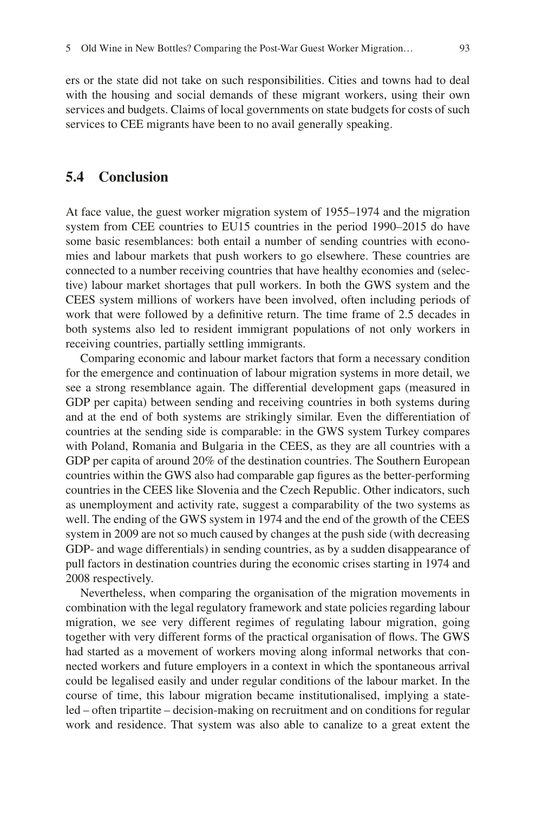ers or the state did not take on such responsibilities. Cities and towns had to deal with the housing and social demands of these migrant workers, using their own services and budgets. Claims of local governments on state budgets for costs of such services to CEE migrants have been to no avail generally speaking.

#### **5.4 Conclusion**

At face value, the guest worker migration system of 1955–1974 and the migration system from CEE countries to EU15 countries in the period 1990–2015 do have some basic resemblances: both entail a number of sending countries with economies and labour markets that push workers to go elsewhere. These countries are connected to a number receiving countries that have healthy economies and (selective) labour market shortages that pull workers. In both the GWS system and the CEES system millions of workers have been involved, often including periods of work that were followed by a definitive return. The time frame of 2.5 decades in both systems also led to resident immigrant populations of not only workers in receiving countries, partially settling immigrants.

Comparing economic and labour market factors that form a necessary condition for the emergence and continuation of labour migration systems in more detail, we see a strong resemblance again. The differential development gaps (measured in GDP per capita) between sending and receiving countries in both systems during and at the end of both systems are strikingly similar. Even the differentiation of countries at the sending side is comparable: in the GWS system Turkey compares with Poland, Romania and Bulgaria in the CEES, as they are all countries with a GDP per capita of around 20% of the destination countries. The Southern European countries within the GWS also had comparable gap figures as the better-performing countries in the CEES like Slovenia and the Czech Republic. Other indicators, such as unemployment and activity rate, suggest a comparability of the two systems as well. The ending of the GWS system in 1974 and the end of the growth of the CEES system in 2009 are not so much caused by changes at the push side (with decreasing GDP- and wage differentials) in sending countries, as by a sudden disappearance of pull factors in destination countries during the economic crises starting in 1974 and 2008 respectively.

Nevertheless, when comparing the organisation of the migration movements in combination with the legal regulatory framework and state policies regarding labour migration, we see very different regimes of regulating labour migration, going together with very different forms of the practical organisation of flows. The GWS had started as a movement of workers moving along informal networks that connected workers and future employers in a context in which the spontaneous arrival could be legalised easily and under regular conditions of the labour market. In the course of time, this labour migration became institutionalised, implying a stateled – often tripartite – decision-making on recruitment and on conditions for regular work and residence. That system was also able to canalize to a great extent the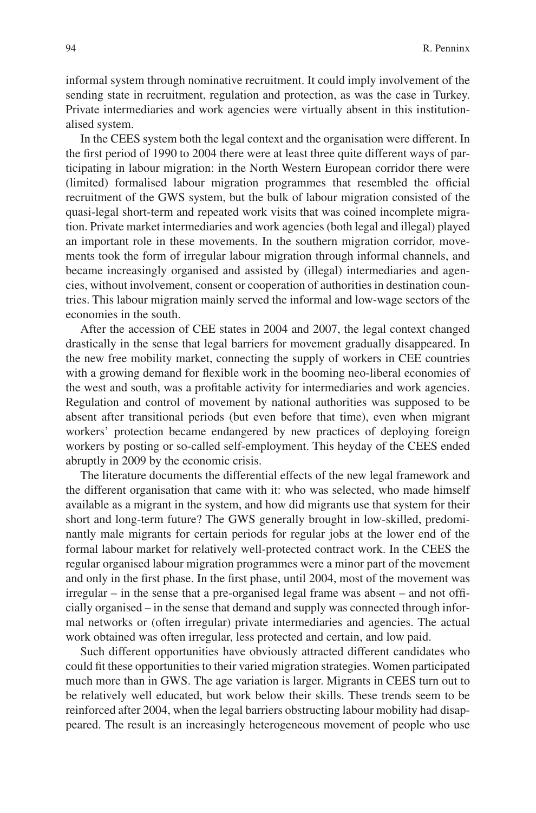informal system through nominative recruitment. It could imply involvement of the sending state in recruitment, regulation and protection, as was the case in Turkey. Private intermediaries and work agencies were virtually absent in this institutionalised system.

In the CEES system both the legal context and the organisation were different. In the first period of 1990 to 2004 there were at least three quite different ways of participating in labour migration: in the North Western European corridor there were (limited) formalised labour migration programmes that resembled the official recruitment of the GWS system, but the bulk of labour migration consisted of the quasi-legal short-term and repeated work visits that was coined incomplete migration. Private market intermediaries and work agencies (both legal and illegal) played an important role in these movements. In the southern migration corridor, movements took the form of irregular labour migration through informal channels, and became increasingly organised and assisted by (illegal) intermediaries and agencies, without involvement, consent or cooperation of authorities in destination countries. This labour migration mainly served the informal and low-wage sectors of the economies in the south.

After the accession of CEE states in 2004 and 2007, the legal context changed drastically in the sense that legal barriers for movement gradually disappeared. In the new free mobility market, connecting the supply of workers in CEE countries with a growing demand for flexible work in the booming neo-liberal economies of the west and south, was a profitable activity for intermediaries and work agencies. Regulation and control of movement by national authorities was supposed to be absent after transitional periods (but even before that time), even when migrant workers' protection became endangered by new practices of deploying foreign workers by posting or so-called self-employment. This heyday of the CEES ended abruptly in 2009 by the economic crisis.

The literature documents the differential effects of the new legal framework and the different organisation that came with it: who was selected, who made himself available as a migrant in the system, and how did migrants use that system for their short and long-term future? The GWS generally brought in low-skilled, predominantly male migrants for certain periods for regular jobs at the lower end of the formal labour market for relatively well-protected contract work. In the CEES the regular organised labour migration programmes were a minor part of the movement and only in the first phase. In the first phase, until 2004, most of the movement was irregular – in the sense that a pre-organised legal frame was absent – and not officially organised – in the sense that demand and supply was connected through informal networks or (often irregular) private intermediaries and agencies. The actual work obtained was often irregular, less protected and certain, and low paid.

Such different opportunities have obviously attracted different candidates who could fit these opportunities to their varied migration strategies. Women participated much more than in GWS. The age variation is larger. Migrants in CEES turn out to be relatively well educated, but work below their skills. These trends seem to be reinforced after 2004, when the legal barriers obstructing labour mobility had disappeared. The result is an increasingly heterogeneous movement of people who use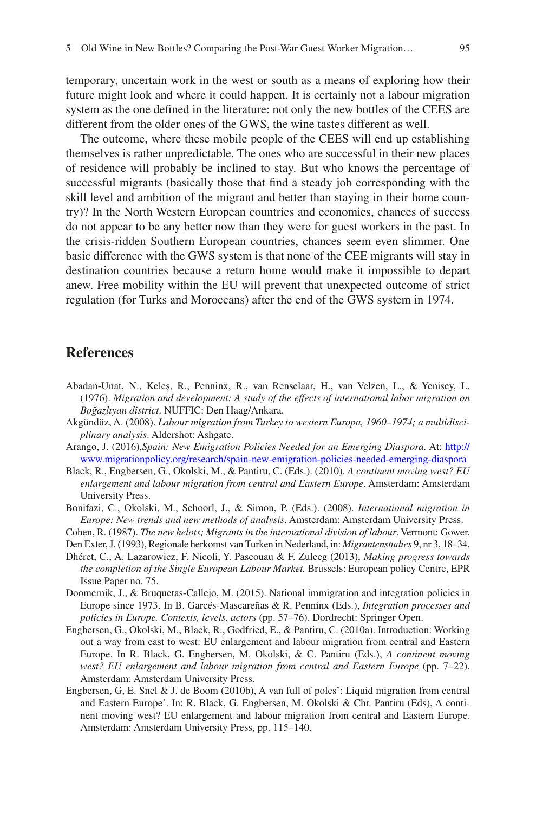temporary, uncertain work in the west or south as a means of exploring how their future might look and where it could happen. It is certainly not a labour migration system as the one defined in the literature: not only the new bottles of the CEES are different from the older ones of the GWS, the wine tastes different as well.

The outcome, where these mobile people of the CEES will end up establishing themselves is rather unpredictable. The ones who are successful in their new places of residence will probably be inclined to stay. But who knows the percentage of successful migrants (basically those that find a steady job corresponding with the skill level and ambition of the migrant and better than staying in their home country)? In the North Western European countries and economies, chances of success do not appear to be any better now than they were for guest workers in the past. In the crisis-ridden Southern European countries, chances seem even slimmer. One basic difference with the GWS system is that none of the CEE migrants will stay in destination countries because a return home would make it impossible to depart anew. Free mobility within the EU will prevent that unexpected outcome of strict regulation (for Turks and Moroccans) after the end of the GWS system in 1974.

#### **References**

- <span id="page-19-8"></span>Abadan-Unat, N., Keleş, R., Penninx, R., van Renselaar, H., van Velzen, L., & Yenisey, L. (1976). *Migration and development: A study of the effects of international labor migration on Boğazlıyan district*. NUFFIC: Den Haag/Ankara.
- <span id="page-19-7"></span>Akgündüz, A. (2008). *Labour migration from Turkey to western Europa, 1960–1974; a multidisciplinary analysis*. Aldershot: Ashgate.
- <span id="page-19-6"></span>Arango, J. (2016),*Spain: New Emigration Policies Needed for an Emerging Diaspora.* At: [http://](http://www.migrationpolicy.org/research/spain-new-emigration-policies-needed-emerging-diaspora) [www.migrationpolicy.org/research/spain-new-emigration-policies-needed-emerging-diaspora](http://www.migrationpolicy.org/research/spain-new-emigration-policies-needed-emerging-diaspora)
- <span id="page-19-2"></span>Black, R., Engbersen, G., Okolski, M., & Pantiru, C. (Eds.). (2010). *A continent moving west? EU enlargement and labour migration from central and Eastern Europe*. Amsterdam: Amsterdam University Press.
- <span id="page-19-0"></span>Bonifazi, C., Okolski, M., Schoorl, J., & Simon, P. (Eds.). (2008). *International migration in Europe: New trends and new methods of analysis*. Amsterdam: Amsterdam University Press.
- <span id="page-19-1"></span>Cohen, R. (1987). *The new helots; Migrants in the international division of labour*. Vermont: Gower.
- <span id="page-19-9"></span>Den Exter, J. (1993), Regionale herkomst van Turken in Nederland, in: *Migrantenstudies* 9, nr 3, 18–34.
- <span id="page-19-5"></span>Dhéret, C., A. Lazarowicz, F. Nicoli, Y. Pascouau & F. Zuleeg (2013), *Making progress towards the completion of the Single European Labour Market.* Brussels: European policy Centre, EPR Issue Paper no. 75.
- <span id="page-19-10"></span>Doomernik, J., & Bruquetas-Callejo, M. (2015). National immigration and integration policies in Europe since 1973. In B. Garcés-Mascareñas & R. Penninx (Eds.), *Integration processes and policies in Europe. Contexts, levels, actors* (pp. 57–76). Dordrecht: Springer Open.
- <span id="page-19-3"></span>Engbersen, G., Okolski, M., Black, R., Godfried, E., & Pantiru, C. (2010a). Introduction: Working out a way from east to west: EU enlargement and labour migration from central and Eastern Europe. In R. Black, G. Engbersen, M. Okolski, & C. Pantiru (Eds.), *A continent moving west? EU enlargement and labour migration from central and Eastern Europe* (pp. 7–22). Amsterdam: Amsterdam University Press.
- <span id="page-19-4"></span>Engbersen, G, E. Snel & J. de Boom (2010b), A van full of poles': Liquid migration from central and Eastern Europe'. In: R. Black, G. Engbersen, M. Okolski & Chr. Pantiru (Eds), A continent moving west? EU enlargement and labour migration from central and Eastern Europe*.* Amsterdam: Amsterdam University Press, pp. 115–140.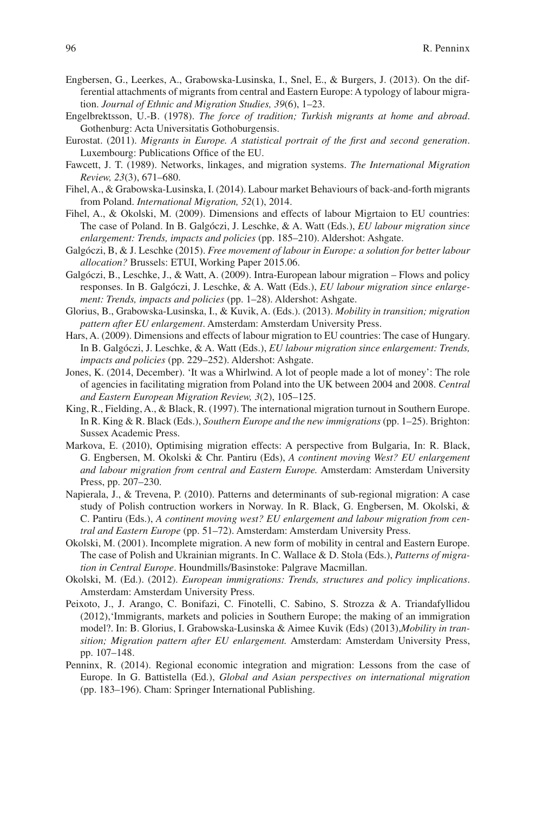- <span id="page-20-15"></span>Engbersen, G., Leerkes, A., Grabowska-Lusinska, I., Snel, E., & Burgers, J. (2013). On the differential attachments of migrants from central and Eastern Europe: A typology of labour migration. *Journal of Ethnic and Migration Studies, 39*(6), 1–23.
- <span id="page-20-8"></span>Engelbrektsson, U.-B. (1978). *The force of tradition; Turkish migrants at home and abroad*. Gothenburg: Acta Universitatis Gothoburgensis.
- <span id="page-20-3"></span>Eurostat. (2011). *Migrants in Europe. A statistical portrait of the first and second generation*. Luxembourg: Publications Office of the EU.
- <span id="page-20-0"></span>Fawcett, J. T. (1989). Networks, linkages, and migration systems. *The International Migration Review, 23*(3), 671–680.
- <span id="page-20-9"></span>Fihel, A., & Grabowska-Lusinska, I. (2014). Labour market Behaviours of back-and-forth migrants from Poland. *International Migration, 52*(1), 2014.
- <span id="page-20-4"></span>Fihel, A., & Okolski, M. (2009). Dimensions and effects of labour Migrtaion to EU countries: The case of Poland. In B. Galgóczi, J. Leschke, & A. Watt (Eds.), *EU labour migration since enlargement: Trends, impacts and policies* (pp. 185–210). Aldershot: Ashgate.
- <span id="page-20-14"></span>Galgóczi, B, & J. Leschke (2015). *Free movement of labour in Europe: a solution for better labour allocation?* Brussels: ETUI, Working Paper 2015.06.
- <span id="page-20-5"></span>Galgóczi, B., Leschke, J., & Watt, A. (2009). Intra-European labour migration – Flows and policy responses. In B. Galgóczi, J. Leschke, & A. Watt (Eds.), *EU labour migration since enlargement: Trends, impacts and policies* (pp. 1–28). Aldershot: Ashgate.
- <span id="page-20-2"></span>Glorius, B., Grabowska-Lusinska, I., & Kuvik, A. (Eds.). (2013). *Mobility in transition; migration pattern after EU enlargement*. Amsterdam: Amsterdam University Press.
- <span id="page-20-6"></span>Hars, A. (2009). Dimensions and effects of labour migration to EU countries: The case of Hungary. In B. Galgóczi, J. Leschke, & A. Watt (Eds.), *EU labour migration since enlargement: Trends, impacts and policies* (pp. 229–252). Aldershot: Ashgate.
- <span id="page-20-13"></span>Jones, K. (2014, December). 'It was a Whirlwind. A lot of people made a lot of money': The role of agencies in facilitating migration from Poland into the UK between 2004 and 2008. *Central and Eastern European Migration Review, 3*(2), 105–125.
- <span id="page-20-11"></span>King, R., Fielding, A., & Black, R. (1997). The international migration turnout in Southern Europe. In R. King & R. Black (Eds.), *Southern Europe and the new immigrations* (pp. 1–25). Brighton: Sussex Academic Press.
- <span id="page-20-7"></span>Markova, E. (2010), Optimising migration effects: A perspective from Bulgaria, In: R. Black, G. Engbersen, M. Okolski & Chr. Pantiru (Eds), *A continent moving West? EU enlargement and labour migration from central and Eastern Europe.* Amsterdam: Amsterdam University Press, pp. 207–230.
- <span id="page-20-16"></span>Napierala, J., & Trevena, P. (2010). Patterns and determinants of sub-regional migration: A case study of Polish contruction workers in Norway. In R. Black, G. Engbersen, M. Okolski, & C. Pantiru (Eds.), *A continent moving west? EU enlargement and labour migration from central and Eastern Europe* (pp. 51–72). Amsterdam: Amsterdam University Press.
- <span id="page-20-10"></span>Okolski, M. (2001). Incomplete migration. A new form of mobility in central and Eastern Europe. The case of Polish and Ukrainian migrants. In C. Wallace & D. Stola (Eds.), *Patterns of migration in Central Europe*. Houndmills/Basinstoke: Palgrave Macmillan.
- <span id="page-20-1"></span>Okolski, M. (Ed.). (2012). *European immigrations: Trends, structures and policy implications*. Amsterdam: Amsterdam University Press.
- <span id="page-20-12"></span>Peixoto, J., J. Arango, C. Bonifazi, C. Finotelli, C. Sabino, S. Strozza & A. Triandafyllidou (2012),'Immigrants, markets and policies in Southern Europe; the making of an immigration model?. In: B. Glorius, I. Grabowska-Lusinska & Aimee Kuvik (Eds) (2013),*Mobility in transition; Migration pattern after EU enlargement.* Amsterdam: Amsterdam University Press, pp. 107–148.
- <span id="page-20-17"></span>Penninx, R. (2014). Regional economic integration and migration: Lessons from the case of Europe. In G. Battistella (Ed.), *Global and Asian perspectives on international migration* (pp. 183–196). Cham: Springer International Publishing.